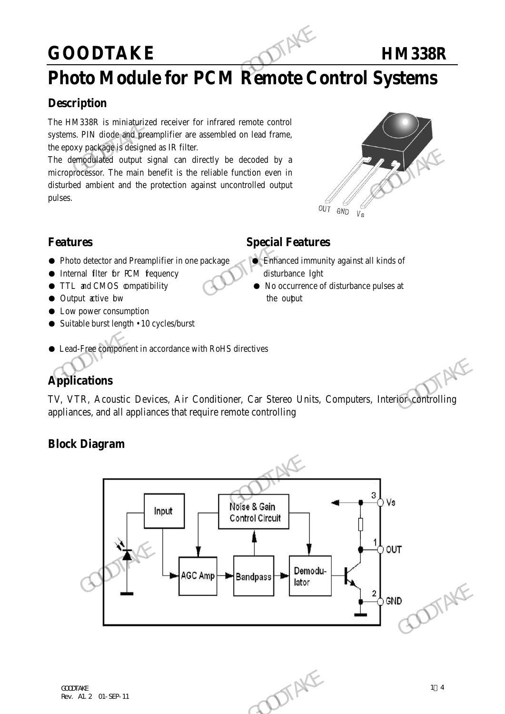## GOODTAKE **HM338R**

## **Photo Module for PCM Remote Control Systems**

#### **Description**

The HM338R is miniaturized receiver for infrared remote control systems. PIN diode and preamplifier are assembled on lead frame, the epoxy package is designed as IR filter.

The demodulated output signal can directly be decoded by a microprocessor. The main benefit is the reliable function even in disturbed ambient and the protection against uncontrolled output pulses. GOODTAKE<br>
Photo Module for PCM Remote Conservation<br>
The HM338R is miniaturized receiver for infrared remote control<br>
systems. PIN diode and preamplifier are assembled on lead frame,<br>
the epoxy package is designed as IR fil The democratization of the model and the protection against controlled by a<br>
The democratization. The main benefit is the reliable function even in<br>
disturbed ambient and the protection against uncontrolled output<br>
pulses.



### **Features** Special Features

- Photo detector and Preamplifier in one package Binhanced immunity against all kinds of
- Internal filter for PCM fequency disturbance light
- TTL and CMOS compatibility No occurrence of disturbance pulses at
- Output active bw the output
- Low power consumption
- Suitable burst length 10 cycles/burst

### ● Lead-Free component in accordance with RoHS directives

### **Applications**

TV, VTR, Acoustic Devices, Air Conditioner, Car Stereo Units, Computers, Interior controlling appliances, and all appliances that require remote controlling

### **Block Diagram**

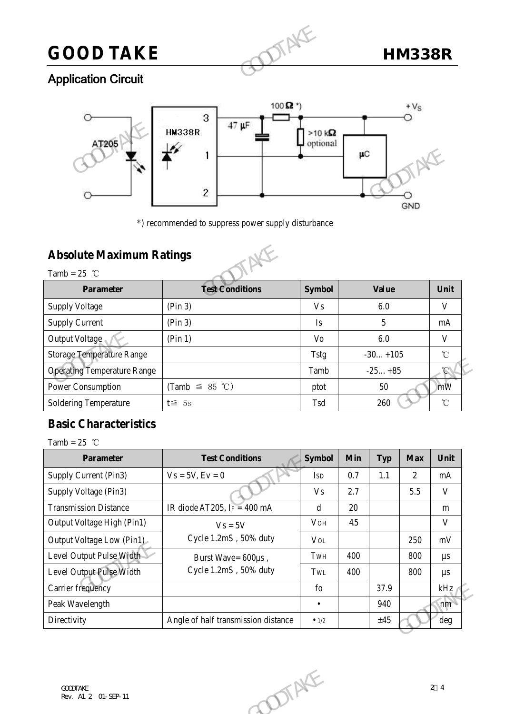# **GOOD TAKE HM338R**

### Application Circuit



\*) recommended to suppress power supply disturbance

### **Absolute Maximum Ratings**



Tamb =  $25$  °C **Parameter Test Conditions Symbol Value Value Unit** Supply Voltage  $\vert$  (Pin 3)  $\vert$  Vs  $\vert$  6.0  $\vert$  V Supply Current (Pin 3) Is 5 mA Output Voltage (Pin 1) Vo 6.0 V Storage Temperature Range Tstg -30…+105 ℃ Operating Temperature Range Tamb -25…+85 ℃ Power Consumption  $\text{(Tamb } \leq 85 \text{ °C)}$  ptot 50 mW Soldering Temperature t≦ 5s Tsd 260 ℃ Absolute Maximum Ratings<br>
Tamb = 25 °C<br>
Parameter<br>
Supply Voltage<br>
Supply Voltage<br>
Tamb = 25 °C<br>
Parameter<br>
Supply Voltage<br>
Supply Voltage<br>
Supply Voltage<br>
Tamb = 25 °C<br>
Parameter<br>
Touge Temperature Range<br>
Tamb = 25 °C<br>
T

### **Basic Characteristics**

| <b>Operating Temperature Range</b> |                                     |                           |     |            |            |                   |
|------------------------------------|-------------------------------------|---------------------------|-----|------------|------------|-------------------|
|                                    |                                     | Tamb                      |     | $-25+85$   |            | $\mathcal{C}$     |
| Power Consumption                  | (Tamb $\leq$ 85 °C)                 | ptot                      |     | 50         |            | mW                |
| <b>Soldering Temperature</b>       | $t \leq 5s$                         | Tsd                       |     | 260        |            | $^\circ\!{\rm C}$ |
| <b>Basic Characteristics</b>       |                                     |                           |     |            |            |                   |
| Tamb = $25$ °C                     |                                     |                           |     |            |            |                   |
| <b>Parameter</b>                   | <b>Test Conditions</b>              | <b>Symbol</b>             | Min | <b>Typ</b> | <b>Max</b> | Unit              |
| Supply Current (Pin3)              | $Vs = 5V, Ev = 0$                   | <b>ISD</b>                | 0.7 | 1.1        | 2          | mA                |
| Supply Voltage (Pin3)              |                                     | <b>Vs</b>                 | 2.7 |            | 5.5        | $\mathbf{V}$      |
| <b>Transmission Distance</b>       | IR diode AT205, IF = 400 mA         | d                         | 20  |            |            | m                 |
| Output Voltage High (Pin1)         | $Vs = 5V$                           | VOH                       | 4.5 |            |            | V                 |
| Output Voltage Low (Pin1)          | Cycle 1.2mS, 50% duty               | $\ensuremath{\text{Vol}}$ |     |            | 250        | $\rm mV$          |
| Level Output Pulse Width           | Burst Wave= 600µs,                  | TWH                       | 400 |            | 800        | $\mu s$           |
| Level Output Pulse Width           | Cycle 1.2mS, 50% duty               | TWL                       | 400 |            | 800        | $\mu s$           |
| Carrier frequency                  |                                     | fo                        |     | 37.9       |            | $kHz_1$           |
| Peak Wavelength                    |                                     | $\bullet$                 |     | 940        |            | nm                |
| Directivity                        | Angle of half transmission distance | $\bullet$ 1/2             |     | ±45        |            | $\deg$            |
|                                    |                                     |                           |     |            |            |                   |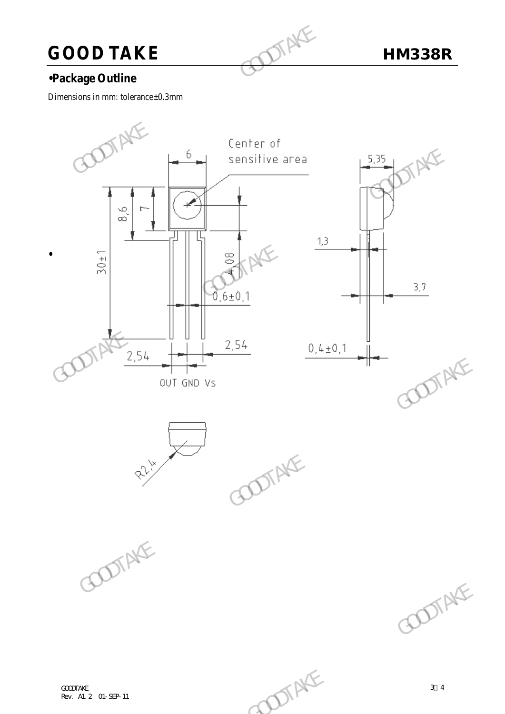# **GOOD TAKE** HM338R

### **•Package Outline**

Dimensions in mm: tolerance±0.3mm